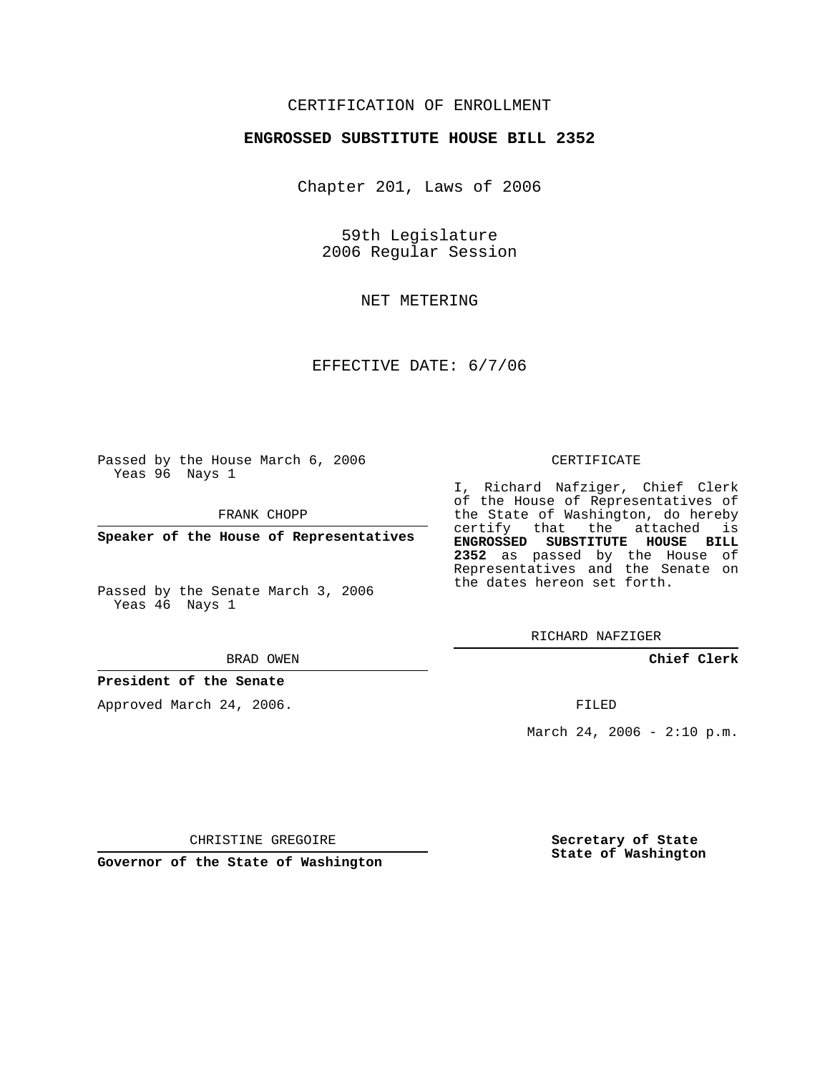## CERTIFICATION OF ENROLLMENT

### **ENGROSSED SUBSTITUTE HOUSE BILL 2352**

Chapter 201, Laws of 2006

59th Legislature 2006 Regular Session

NET METERING

EFFECTIVE DATE: 6/7/06

Passed by the House March 6, 2006 Yeas 96 Nays 1

FRANK CHOPP

**Speaker of the House of Representatives**

Passed by the Senate March 3, 2006 Yeas 46 Nays 1

#### BRAD OWEN

## **President of the Senate**

Approved March 24, 2006.

#### CERTIFICATE

I, Richard Nafziger, Chief Clerk of the House of Representatives of the State of Washington, do hereby certify that the attached is **ENGROSSED SUBSTITUTE HOUSE BILL 2352** as passed by the House of Representatives and the Senate on the dates hereon set forth.

RICHARD NAFZIGER

**Chief Clerk**

FILED

March 24, 2006 -  $2:10 \text{ p.m.}$ 

CHRISTINE GREGOIRE

**Governor of the State of Washington**

**Secretary of State State of Washington**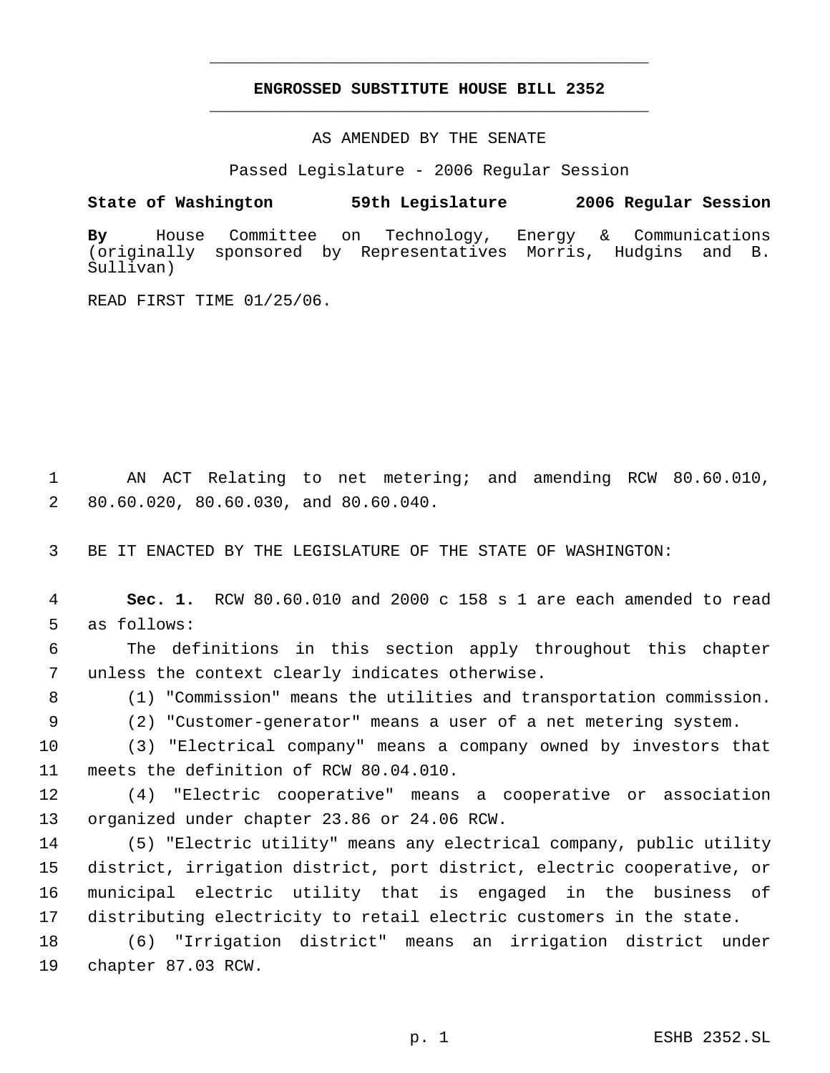# **ENGROSSED SUBSTITUTE HOUSE BILL 2352** \_\_\_\_\_\_\_\_\_\_\_\_\_\_\_\_\_\_\_\_\_\_\_\_\_\_\_\_\_\_\_\_\_\_\_\_\_\_\_\_\_\_\_\_\_

\_\_\_\_\_\_\_\_\_\_\_\_\_\_\_\_\_\_\_\_\_\_\_\_\_\_\_\_\_\_\_\_\_\_\_\_\_\_\_\_\_\_\_\_\_

AS AMENDED BY THE SENATE

Passed Legislature - 2006 Regular Session

**State of Washington 59th Legislature 2006 Regular Session**

**By** House Committee on Technology, Energy & Communications (originally sponsored by Representatives Morris, Hudgins and B. Sullivan)

READ FIRST TIME 01/25/06.

 AN ACT Relating to net metering; and amending RCW 80.60.010, 80.60.020, 80.60.030, and 80.60.040.

BE IT ENACTED BY THE LEGISLATURE OF THE STATE OF WASHINGTON:

 **Sec. 1.** RCW 80.60.010 and 2000 c 158 s 1 are each amended to read as follows:

 The definitions in this section apply throughout this chapter unless the context clearly indicates otherwise.

(1) "Commission" means the utilities and transportation commission.

(2) "Customer-generator" means a user of a net metering system.

 (3) "Electrical company" means a company owned by investors that meets the definition of RCW 80.04.010.

 (4) "Electric cooperative" means a cooperative or association organized under chapter 23.86 or 24.06 RCW.

 (5) "Electric utility" means any electrical company, public utility district, irrigation district, port district, electric cooperative, or municipal electric utility that is engaged in the business of distributing electricity to retail electric customers in the state.

 (6) "Irrigation district" means an irrigation district under chapter 87.03 RCW.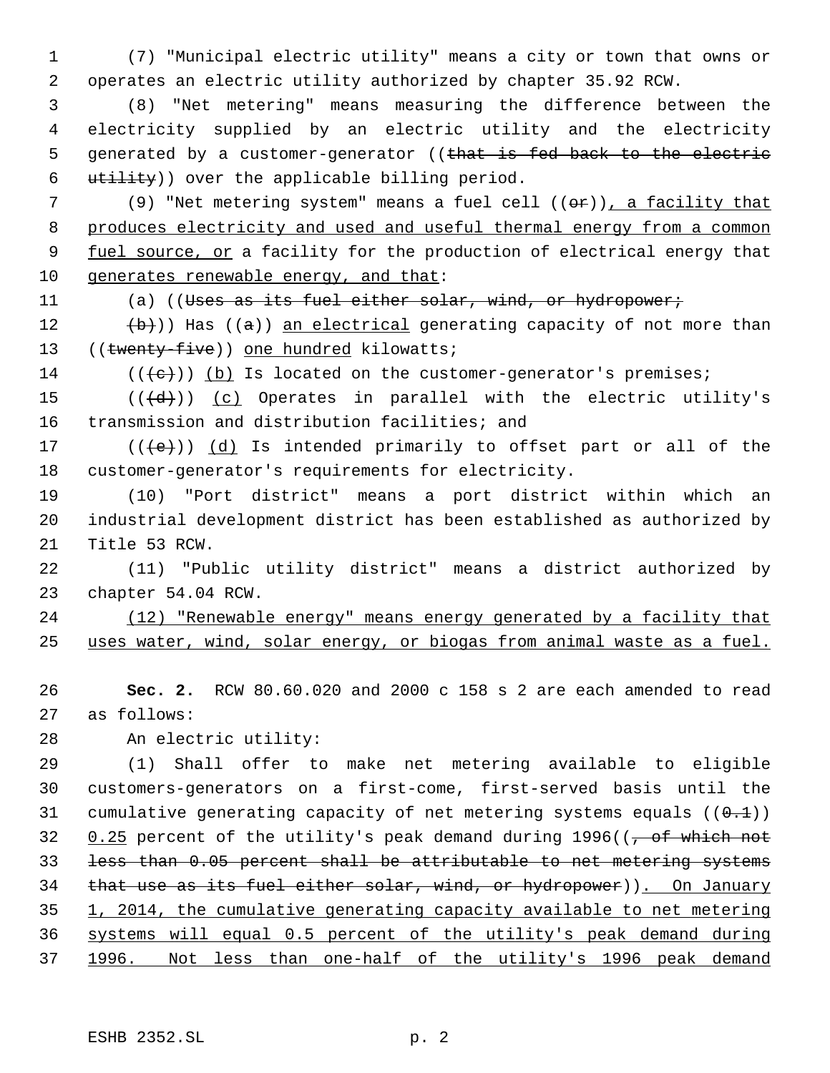(7) "Municipal electric utility" means a city or town that owns or operates an electric utility authorized by chapter 35.92 RCW.

 (8) "Net metering" means measuring the difference between the electricity supplied by an electric utility and the electricity 5 generated by a customer-generator ((that is fed back to the electric utility)) over the applicable billing period.

7 (9) "Net metering system" means a fuel cell  $((\Theta \rightarrow F))$ , a facility that 8 produces electricity and used and useful thermal energy from a common 9 fuel source, or a facility for the production of electrical energy that 10 generates renewable energy, and that:

11 (a) ((Uses as its fuel either solar, wind, or hydropower;

12  $(\theta)$ ) Has ( $(\theta)$ ) an electrical generating capacity of not more than 13 ((twenty-five)) one hundred kilowatts;

14  $((\{e\})$  (b) Is located on the customer-generator's premises;

15  $((\{d\})$   $(c)$  Operates in parallel with the electric utility's transmission and distribution facilities; and

17  $((\{e\})\)$   $(d)$  Is intended primarily to offset part or all of the customer-generator's requirements for electricity.

 (10) "Port district" means a port district within which an industrial development district has been established as authorized by Title 53 RCW.

 (11) "Public utility district" means a district authorized by chapter 54.04 RCW.

 (12) "Renewable energy" means energy generated by a facility that uses water, wind, solar energy, or biogas from animal waste as a fuel.

 **Sec. 2.** RCW 80.60.020 and 2000 c 158 s 2 are each amended to read as follows:

An electric utility:

 (1) Shall offer to make net metering available to eligible customers-generators on a first-come, first-served basis until the 31 cumulative generating capacity of net metering systems equals  $((0,1))$  $0.25$  percent of the utility's peak demand during 1996( $(-6.25)$  which not less than 0.05 percent shall be attributable to net metering systems that use as its fuel either solar, wind, or hydropower)). On January 1, 2014, the cumulative generating capacity available to net metering systems will equal 0.5 percent of the utility's peak demand during 1996. Not less than one-half of the utility's 1996 peak demand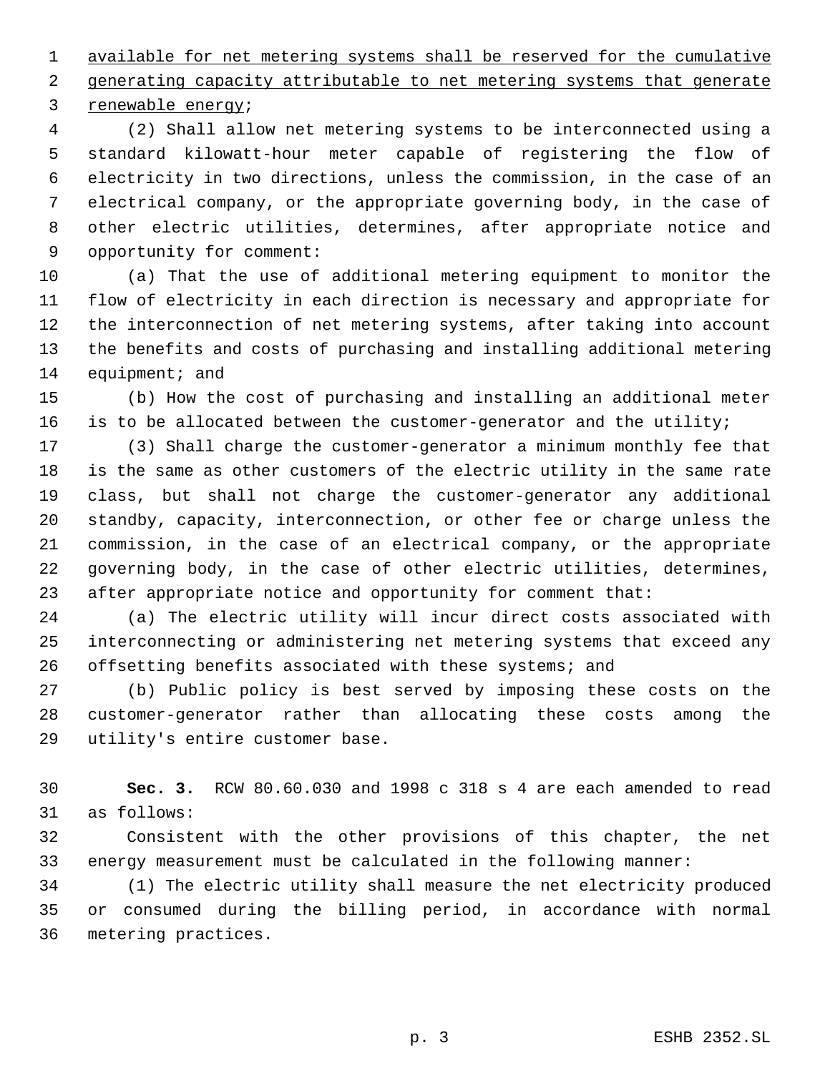available for net metering systems shall be reserved for the cumulative generating capacity attributable to net metering systems that generate renewable energy;

 (2) Shall allow net metering systems to be interconnected using a standard kilowatt-hour meter capable of registering the flow of electricity in two directions, unless the commission, in the case of an electrical company, or the appropriate governing body, in the case of other electric utilities, determines, after appropriate notice and opportunity for comment:

 (a) That the use of additional metering equipment to monitor the flow of electricity in each direction is necessary and appropriate for the interconnection of net metering systems, after taking into account the benefits and costs of purchasing and installing additional metering 14 equipment; and

 (b) How the cost of purchasing and installing an additional meter is to be allocated between the customer-generator and the utility;

 (3) Shall charge the customer-generator a minimum monthly fee that is the same as other customers of the electric utility in the same rate class, but shall not charge the customer-generator any additional standby, capacity, interconnection, or other fee or charge unless the commission, in the case of an electrical company, or the appropriate governing body, in the case of other electric utilities, determines, after appropriate notice and opportunity for comment that:

 (a) The electric utility will incur direct costs associated with interconnecting or administering net metering systems that exceed any offsetting benefits associated with these systems; and

 (b) Public policy is best served by imposing these costs on the customer-generator rather than allocating these costs among the utility's entire customer base.

 **Sec. 3.** RCW 80.60.030 and 1998 c 318 s 4 are each amended to read as follows:

 Consistent with the other provisions of this chapter, the net energy measurement must be calculated in the following manner:

 (1) The electric utility shall measure the net electricity produced or consumed during the billing period, in accordance with normal metering practices.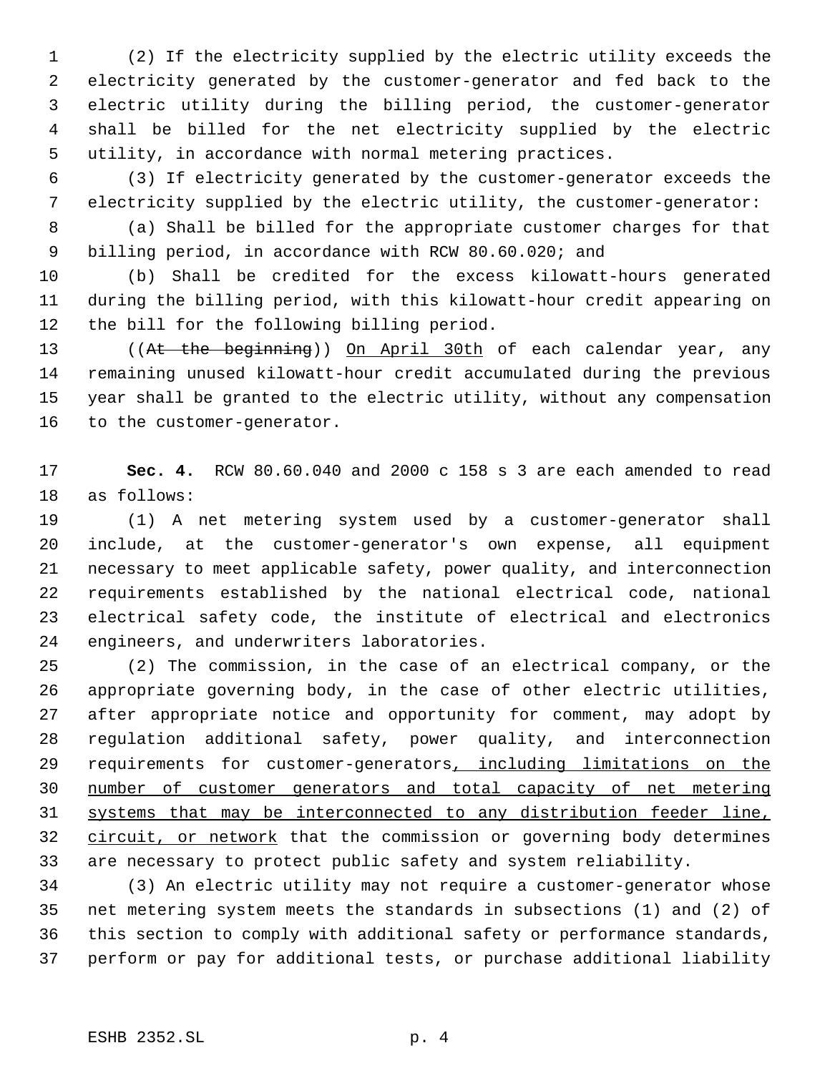(2) If the electricity supplied by the electric utility exceeds the electricity generated by the customer-generator and fed back to the electric utility during the billing period, the customer-generator shall be billed for the net electricity supplied by the electric utility, in accordance with normal metering practices.

 (3) If electricity generated by the customer-generator exceeds the electricity supplied by the electric utility, the customer-generator:

 (a) Shall be billed for the appropriate customer charges for that billing period, in accordance with RCW 80.60.020; and

 (b) Shall be credited for the excess kilowatt-hours generated during the billing period, with this kilowatt-hour credit appearing on the bill for the following billing period.

13 ((At the beginning)) On April 30th of each calendar year, any remaining unused kilowatt-hour credit accumulated during the previous year shall be granted to the electric utility, without any compensation to the customer-generator.

 **Sec. 4.** RCW 80.60.040 and 2000 c 158 s 3 are each amended to read as follows:

 (1) A net metering system used by a customer-generator shall include, at the customer-generator's own expense, all equipment necessary to meet applicable safety, power quality, and interconnection requirements established by the national electrical code, national electrical safety code, the institute of electrical and electronics engineers, and underwriters laboratories.

 (2) The commission, in the case of an electrical company, or the appropriate governing body, in the case of other electric utilities, after appropriate notice and opportunity for comment, may adopt by regulation additional safety, power quality, and interconnection 29 requirements for customer-generators, including limitations on the number of customer generators and total capacity of net metering systems that may be interconnected to any distribution feeder line, 32 circuit, or network that the commission or governing body determines are necessary to protect public safety and system reliability.

 (3) An electric utility may not require a customer-generator whose net metering system meets the standards in subsections (1) and (2) of this section to comply with additional safety or performance standards, perform or pay for additional tests, or purchase additional liability